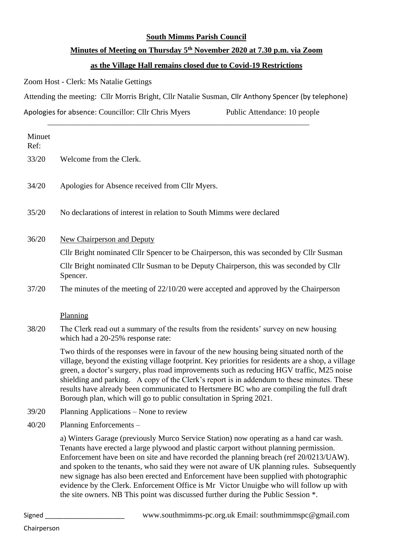#### **South Mimms Parish Council**

# **Minutes of Meeting on Thursday 5 th November 2020 at 7.30 p.m. via Zoom**

## **as the Village Hall remains closed due to Covid-19 Restrictions**

Zoom Host - Clerk: Ms Natalie Gettings

Attending the meeting: Cllr Morris Bright, Cllr Natalie Susman, Cllr Anthony Spencer (by telephone)

\_\_\_\_\_\_\_\_\_\_\_\_\_\_\_\_\_\_\_\_\_\_\_\_\_\_\_\_\_\_\_\_\_\_\_\_\_\_\_\_\_\_\_\_\_\_\_\_\_\_\_\_\_\_\_\_\_\_\_\_\_\_\_\_\_\_\_\_\_

Apologies for absence: Councillor: Cllr Chris Myers Public Attendance: 10 people

| Minuet<br>Ref: |                                                                                                                                                                                                                                                                                                                                                                                                                                                                                                                                                                                                                                                  |
|----------------|--------------------------------------------------------------------------------------------------------------------------------------------------------------------------------------------------------------------------------------------------------------------------------------------------------------------------------------------------------------------------------------------------------------------------------------------------------------------------------------------------------------------------------------------------------------------------------------------------------------------------------------------------|
| 33/20          | Welcome from the Clerk.                                                                                                                                                                                                                                                                                                                                                                                                                                                                                                                                                                                                                          |
| 34/20          | Apologies for Absence received from Cllr Myers.                                                                                                                                                                                                                                                                                                                                                                                                                                                                                                                                                                                                  |
| 35/20          | No declarations of interest in relation to South Mimms were declared                                                                                                                                                                                                                                                                                                                                                                                                                                                                                                                                                                             |
| 36/20          | <b>New Chairperson and Deputy</b>                                                                                                                                                                                                                                                                                                                                                                                                                                                                                                                                                                                                                |
|                | Cllr Bright nominated Cllr Spencer to be Chairperson, this was seconded by Cllr Susman                                                                                                                                                                                                                                                                                                                                                                                                                                                                                                                                                           |
|                | Cllr Bright nominated Cllr Susman to be Deputy Chairperson, this was seconded by Cllr<br>Spencer.                                                                                                                                                                                                                                                                                                                                                                                                                                                                                                                                                |
| 37/20          | The minutes of the meeting of $22/10/20$ were accepted and approved by the Chairperson                                                                                                                                                                                                                                                                                                                                                                                                                                                                                                                                                           |
|                | Planning                                                                                                                                                                                                                                                                                                                                                                                                                                                                                                                                                                                                                                         |
| 38/20          | The Clerk read out a summary of the results from the residents' survey on new housing<br>which had a 20-25% response rate:                                                                                                                                                                                                                                                                                                                                                                                                                                                                                                                       |
|                | Two thirds of the responses were in favour of the new housing being situated north of the<br>village, beyond the existing village footprint. Key priorities for residents are a shop, a village<br>green, a doctor's surgery, plus road improvements such as reducing HGV traffic, M25 noise<br>shielding and parking. A copy of the Clerk's report is in addendum to these minutes. These<br>results have already been communicated to Hertsmere BC who are compiling the full draft<br>Borough plan, which will go to public consultation in Spring 2021.                                                                                      |
| 39/20          | Planning Applications – None to review                                                                                                                                                                                                                                                                                                                                                                                                                                                                                                                                                                                                           |
| 40/20          | <b>Planning Enforcements</b>                                                                                                                                                                                                                                                                                                                                                                                                                                                                                                                                                                                                                     |
|                | a) Winters Garage (previously Murco Service Station) now operating as a hand car wash.<br>Tenants have erected a large plywood and plastic carport without planning permission.<br>Enforcement have been on site and have recorded the planning breach (ref 20/0213/UAW).<br>and spoken to the tenants, who said they were not aware of UK planning rules. Subsequently<br>new signage has also been erected and Enforcement have been supplied with photographic<br>evidence by the Clerk. Enforcement Office is Mr Victor Unuigbe who will follow up with<br>the site owners. NB This point was discussed further during the Public Session *. |